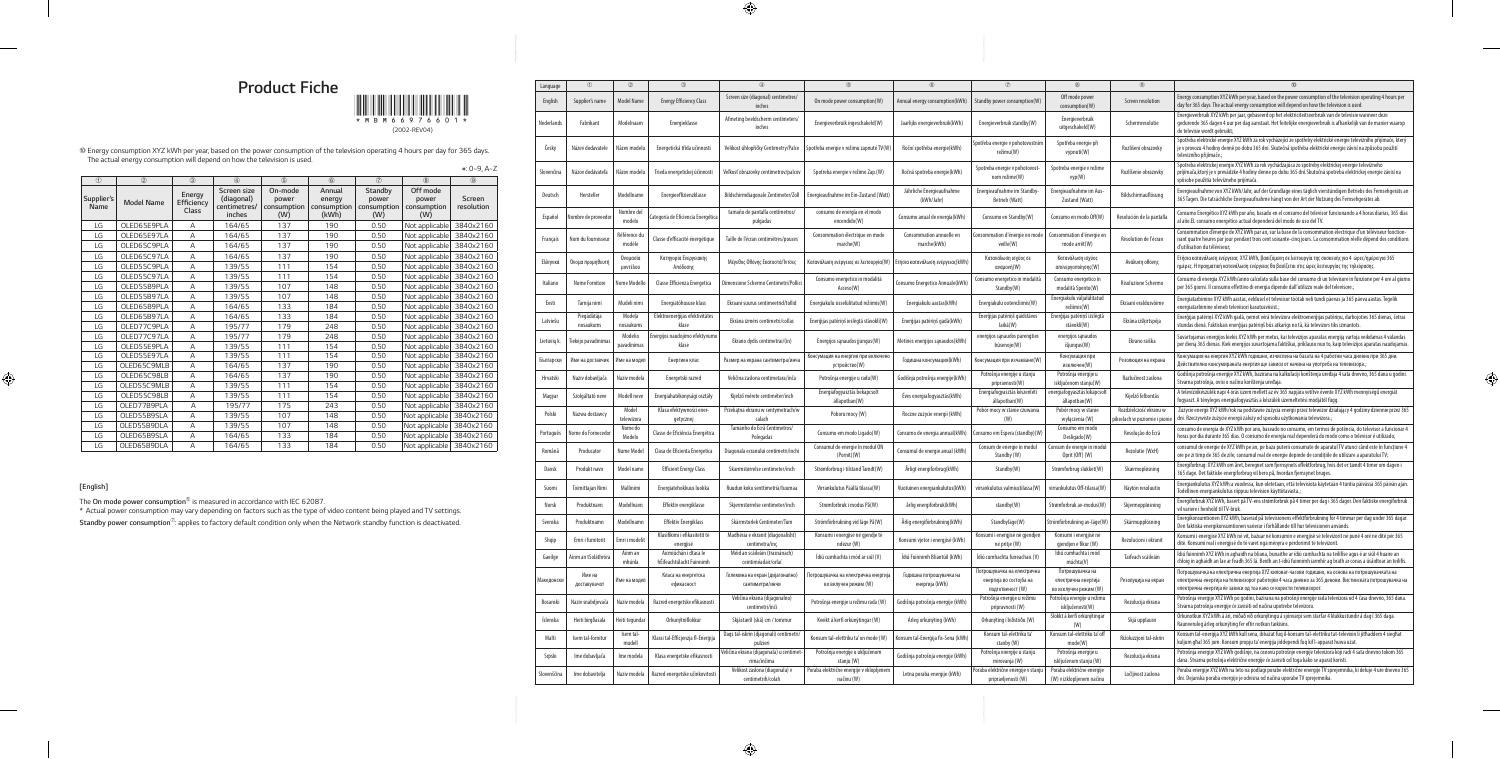## *Product Fiche*

| ® Energy consumption XYZ kWh per year, based on the power consumption of the television operating 4 hours per day for 365 days. |
|---------------------------------------------------------------------------------------------------------------------------------|
| The actual energy consumption will depend on how the television is used.                                                        |
| $\pm$ : 0~9. A~Z                                                                                                                |

*\* Actual power consumption may vary depending on factors such as the type of video content being played and TV settings.*   $S$ tandby power consumption $^{\oslash}$ : applies to factory default condition only when the Network standby function is deactivated.

| (1)                                            | (2)<br>(3)  |                                      | $\overline{A}$<br>(5)                               |                                        | $\circledR$                              | (7)                                    | (8)                                     | (9)                  |
|------------------------------------------------|-------------|--------------------------------------|-----------------------------------------------------|----------------------------------------|------------------------------------------|----------------------------------------|-----------------------------------------|----------------------|
| Supplier's<br><b>Model Name</b><br><b>Name</b> |             | Energy<br>Efficiency<br><b>Class</b> | Screen size<br>(diagonal)<br>centimetres/<br>inches | On-mode<br>power<br>consumption<br>(W) | Annual<br>energy<br>consumption<br>(kWh) | Standby<br>power<br>consumption<br>(W) | Off mode<br>power<br>consumption<br>(W) | Screen<br>resolution |
| LG                                             | OLED65E9PLA | A                                    | 164/65                                              | 137                                    | 190                                      | 0.50                                   | Not applicable                          | 3840x2160            |
| LG                                             | OLED65E97LA | $\overline{A}$                       | 164/65                                              | 137                                    | 190                                      | 0.50                                   | Not applicable                          | 3840x2160            |
| LG                                             | OLED65C9PLA | A                                    | 164/65                                              | 137                                    | 190                                      | 0.50                                   | Not applicable                          | 3840x2160            |
| LG                                             | OLED65C97LA | A                                    | 164/65                                              | 137                                    | 190                                      | 0.50                                   | Not applicable                          | 3840x2160            |
| LG                                             | OLED55C9PLA | A                                    | 139/55                                              | 111                                    | 154                                      | 0.50                                   | Not applicable                          | 3840x2160            |
| LG                                             | OLED55C97LA | A                                    | 139/55                                              | 111                                    | 154                                      | 0.50                                   | Not applicable                          | 3840x2160            |
| LG                                             | OLED55B9PLA | $\overline{A}$                       | 139/55                                              | 107                                    | 148                                      | 0.50                                   | Not applicable                          | 3840x2160            |
| LG                                             | OLED55B97LA | A                                    | 139/55                                              | 107                                    | 148                                      | 0.50                                   | Not applicable                          | 3840x2160            |
| LG                                             | OLED65B9PLA | A                                    | 164/65                                              | 133                                    | 184                                      | 0.50                                   | Not applicable                          | 3840x2160            |
| LG                                             | OLED65B97LA | $\overline{A}$                       | 164/65                                              | 133                                    | 184                                      | 0.50                                   | Not applicable                          | 3840x2160            |
| LG                                             | OLED77C9PLA | A                                    | 195/77                                              | 179                                    | 248                                      | 0.50                                   | Not applicable                          | 3840x2160            |
| LG                                             | OLED77C97LA | A                                    | 195/77                                              | 179                                    | 248                                      | 0.50                                   | Not applicable                          | 3840x2160            |
| LG                                             | OLED55E9PLA | $\overline{A}$                       | 139/55                                              | 111                                    | 154                                      | 0.50                                   | Not applicable                          | 3840x2160            |
| LG                                             | OLED55E97LA | A                                    | 139/55                                              | 111                                    | 154                                      | 0.50                                   | Not applicable                          | 3840x2160            |
| LG                                             | OLED65C9MLB | A                                    | 164/65                                              | 137                                    | 190                                      | 0.50                                   | Not applicable                          | 3840x2160            |
| LG                                             | OLED65C98LB | $\overline{A}$                       | 164/65                                              | 137                                    | 190                                      | 0.50                                   | Not applicable                          | 3840x2160            |
| LG                                             | OLED55C9MLB | A                                    | 139/55                                              | 111                                    | 154                                      | 0.50                                   | Not applicable                          | 3840x2160            |
| LG                                             | OLED55C98LB | A                                    | 139/55                                              | 111                                    | 154                                      | 0.50                                   | Not applicable                          | 3840x2160            |
| LG                                             | OLED77B9PLA | A                                    | 195/77                                              | 175                                    | 243                                      | 0.50                                   | Not applicable                          | 3840x2160            |
| LG                                             | OLED55B9SLA | $\overline{A}$                       | 139/55                                              | 107                                    | 148                                      | 0.50                                   | Not applicable                          | 3840x2160            |
| LG                                             | OLED55B9DLA | A                                    | 139/55                                              | 107                                    | 148                                      | 0.50                                   | Not applicable                          | 3840x2160            |
| LG                                             | OLED65B9SLA | $\overline{A}$                       | 164/65                                              | 133                                    | 184                                      | 0.50                                   | Not applicable                          | 3840x2160            |
| LG                                             | OLED65B9DLA | A                                    | 164/65                                              | 133                                    | 184                                      | 0.50                                   | Not applicable                          | 3840x2160            |

## *[English]*

⊕

*The On mode power consumption*➄ *is measured in accordance with IEC 62087.* 



| Language    | $^{\circ}$               | $\circled{2}$          | (3)                                               | $\left( 4\right)$                                       | (5)                                                                      | 6                                       | $\circledcirc$                                                            | (8)                                                             | (9)                                                    | 60                                                                                                                                                                                                                                                                           |  |
|-------------|--------------------------|------------------------|---------------------------------------------------|---------------------------------------------------------|--------------------------------------------------------------------------|-----------------------------------------|---------------------------------------------------------------------------|-----------------------------------------------------------------|--------------------------------------------------------|------------------------------------------------------------------------------------------------------------------------------------------------------------------------------------------------------------------------------------------------------------------------------|--|
| English     | Supplier's name          | <b>Model Name</b>      | <b>Energy Efficiency Class</b>                    | Screen size (diagonal) centimetres/<br>inches           | On mode power consumption(W)                                             | Annual energy consumption(kWh)          | Standby power consumption(W)                                              | Off mode power<br>consumption(W)                                | Screen resolution                                      | Energy consumption XYZ kWh per year, based on the power consumption of the television operating 4 hours per<br>day for 365 days. The actual energy consumption will depend on how the television is used.                                                                    |  |
| Nederlands  | Fabrikant                | Modelnaam              | Energieklasse                                     | Afmeting beeldscherm centimeters/<br>inches             | Energieverbruik ingeschakeld(W)                                          | Jaarlijks energieverbruik(kWh)          | Energieverbruik standby(W)                                                | Energieverbruik<br>uitgeschakeld(W)                             | Schermresolutie                                        | Energieverbruik XYZ kWh per jaar, gebaseerd op het elektriciteitsverbruik van de televisie wanneer deze<br>gedurende 365 dagen 4 uur per dag aanstaat. Het feitelijke energieverbruik is afhankelijk van de manier waarop<br>de televisie wordt gebruikt;                    |  |
| Cesky       | Název dodavatele         | Název modelu           | Energetická třída učinnosti                       | Velikost úhlopříčky Centimetry/Palce                    | Spotřeba energie v režimu zapnuté TV(W)                                  | Roční spotřeba energie(kWh)             | Spotřeba energie v pohotovostnín<br>režimu(W)                             | Spotřeba energie při<br>vypnutí(W)                              | Rozlišení obrazovky                                    | Spotřeba elektrické energie XYZ kWh za rok vycházející ze spotřeby elektrické energie televizního přijímače, který<br>je v provozu 4 hodiny denně po dobu 365 dní. Skutečná spotřeba elektrické energie závisí na způsobu použití<br>televizního přijímače.;                 |  |
| Slovenčina  | Názov dodávateľa         | Názov modelu           | Trieda energetickej účinnosti                     | Veľkosť obrazovky centimetrov/palcov                    | Spotreba energie v režime Zap.(W)                                        | Ročná spotreba energie(kWh)             | Spotreba energie v pohotovost-<br>nom režime(W)                           | Spotreba energie v režime<br>vyp(W)                             | Rozlíšenie obrazovky                                   | Spotreba elektrickej energie XYZ kWh za rok vychádzajúca zo spotreby elektrickej energie televízneho<br>príjímača, ktorý je v prevádzke 4 hodiny denne po dobu 365 dní. Skutočná spotreba elektrickej energie závisí na<br>spôsobe použitia televízneho prijímača.           |  |
| Deutsch     | Hersteller               | Modellname             | Energieeffizienzklasse                            | Bildschirmdiagonale Zentimeter/Zoll                     | Energieaufnahme im Ein-Zustand (Watt)                                    | Jährliche Energieaufnahme<br>(kWh/Jahr) | Energieaufnahme im Standby-<br>Betrieb (Watt)                             | Energieaufnahme im Aus-<br>Zustand (Watt)                       | Bildschirmauflösung                                    | Energieaufnahme von XYZ kWh/Jahr, auf der Grundlage eines täglich vierstündigen Betriebs des Fernsehgeräts an<br>365 Tagen. Die tatsächliche Energieaufnahme hängt von der Art der Nutzung des Fernsehgerätes ab.                                                            |  |
| Español     | Nombre de proveedo       | Nombre del<br>modelo   | Categoría de Eficiencia Energétic                 | tamaño de pantalla centímetros/<br>pulgadas             | consumo de energía en el modo<br>encendido(W)                            | Consumo anual de energía(kWh)           | Consumo en Standby(W)                                                     | Consumo en modo Off(W)                                          | Resolución de la pantalla                              | Consumo Energético XYZ kWh por año, basado en el consumo del televisor funcionando a 4 horas diarias, 365 días<br>al año.EL consumo energético actual dependerá del modo de uso del TV.                                                                                      |  |
| Français    | Nom du fournisseur       | Référence du<br>modèle | Classe d'efficacité énergétique                   | Taille de l'écran centimètres/pouces                    | Consommation électrique en mode<br>marche(W)                             | Consommation annuelle en<br>marche(kWh) | Consommation d'énergie en mode<br>veille(W)                               | Consommation d'énergie en<br>mode arrêt(W)                      | Résolution de l'écran                                  | Consommation d'énergie de XYZ kWh par an, sur la base de la consommation électrique d'un téléviseur fonction-<br>nant quatre heures par jour pendant trois cent soixante-cinq jours. La consommation réelle dépend des conditions<br>d'utilisation du téléviseur;            |  |
| Ελληνικά    | Όνομα προμηθευτή         | Ονομασία<br>μοντέλου   | Κατηγορία Ενεργειακής<br>Απόδοσης                 | Μέγεθος Οθόνης Εκατοστά/Ίντσες                          | Κατανάλωση ενέργειας σε λειτουργία(W)   Ετήσια κατανάλωση ενέργειας(kWh) |                                         | Κατανάλωση ισχύος σε<br>αναμονή(W)                                        | Κατανάλωση ισχύος<br>απενεργοποίησης(W)                         | Ανάλυση οθόνης                                         | Ετήσια κατανάλωση ενέργειας XYZ kWh, βασιζόμενη σε λειτουργία της συσκευής για 4 ώρες/ημέρα για 365<br>ημέρες. Η πραγματική κατανάλωση ενέργειας θα βασίζεται στις ώρες λειτουργίας της τηλεόρασης.                                                                          |  |
| Italiano    | Nome Fornitore           | Nome Modello           | Classe Efficienza Energetica                      | Dimensione Schermo Centimetri/Pollici                   | Consumo energetico in modalità<br>Acceso(W)                              | Consumo Energetico Annuale(kWh)         | Consumo energetico in modalità<br>Standby(W)                              | Consumo energetico in<br>modalità Spento(W)                     | Risoluzione Schermo                                    | Consumo di energia XYZ kWh/anno calcolato sulla base del consumo di un televisore in funzione per 4 ore al giorno<br>per 365 giorni. Il consumo effettivo di energia dipende dall'utilizzo reale del televisore.;                                                            |  |
| Eesti       | Tarnija nimi             | Mudeli nimi            | Energiatõhususe klass                             | Ekraani suurus sentimeetrid/tollid                      | Energiakulu sisselülitatud režiimis(W)                                   | Energiakulu aastas(kWh)                 | Energiakulu ooterežiimis(W)                                               | Energiakulu väljalülitatud<br>režiimis(W)                       | Ekraani eraldusvõime                                   | Energiatarbimine XYZ kWh aastas, eeldusel et televiisor töötab neli tundi päevas ja 365 päeva aastas. Tegelik<br>energiatarbimine oleneb televiisori kasutusviisist.;                                                                                                        |  |
| Latviešu    | Piegādātāja<br>nosaukums | Modela<br>nosaukums    | Elektroenerģijas efektivitātes<br>klase           | Ekrāna izmērs centimetri/collas                         | Enerģijas patēriņš ieslēgtā stāvoklī(W)                                  | Enerģijas patēriņš gadā(kWh)            | Enerģijas patēriņš gaidstāves<br>laikā(W)                                 | Enerģijas patēriņš izslēgtā<br>stāvoklī(W)                      | Ekrāna izšķirtspēja                                    | Enerģijas patēriņš XYZ kWh gadā, ņemot vērā televizora elektroenerģijas patēriņu, darbojoties 365 dienas, četras<br>stundas dienā. Faktiskais enerģijas patēriņš būs atkarīgs no tā, kā televizors tiks izmantots.                                                           |  |
| Lietuvių k. | Tiekėjo pavadinima:      | Modelio<br>pavadinimas | Energijos naudojimo efektyvumo<br>klasė           | Ekrano dydis centimetrai/(in)                           | Energijos sąnaudos įjungus(W)                                            | Metinės energijos sąnaudos(kWh)         | energijos sąnaudos parengties<br>būsenoje(W)                              | energijos sąnaudos<br>išjungus(W)                               | Ekrano raiška                                          | Suvartojamas energijos kiekis XYZ kWh per metus, kai televizijos aparatas energiją vartoja veikdamas 4 valandas<br>per dieną 365 dienas. Kiek energijos suvartojama faktiškai, priklauso nuo to, kaip televizijos aparatas naudojamas.                                       |  |
| Български   | Име на доставчик         | Име на модел           | Енергиен клас                                     | Размер на екрана сантиметра/инча                        | Консумация на енергия при включено<br>устройство(W)                      | Годишна консумация(kWh)                 | Консумация при изчакване(W)                                               | Консумация при<br>изключен(W)                                   | Резолюция на екрана                                    | Консумация на енергия XYZ kWh годишно, изчислена на базата на 4 работни часа дневно при 365 дни.<br>Действително консумираната енергия ще зависи от начина на употреба на телевизора.;                                                                                       |  |
| Hrvatski    | Naziv dobavljača         | Naziv modela           | Energetski razred                                 | Veličina zaslona centimetara/inča                       | Potrošnja energije u radu(W)                                             | Godišnja potrošnja energije(kWh)        | Potrošnja energije u stanju<br>pripravnosti(W)                            | Potrošnja energije u<br>isključenom stanju(W)                   | Razlučivost zaslona                                    | Godišnja potrošnja energije XYZ kWh, bazirana na kalkulaciji korištenja uređaja 4 sata dnevno, 365 dana u godini.<br>Stvarna potrošnja, ovisi o načinu korištenja uređaja.                                                                                                   |  |
| Magyar      | Szolgáltató neve         | Modell neve            | Energiahatékonysági osztály                       | Kijelző mérete centiméter/inch                          | Energiafogyasztás bekapcsolt<br>állapotban(W)                            | Éves energiafogyasztás(kWh)             | Energiafogyasztás készenléti<br>állapotban(W)                             | energiafogyasztás kikapcsolt<br>állapotban(W)                   | Kiielző felbontás                                      | A televíziókészülék napi 4 órás üzem mellett az év 365 napjára vetítve évente XYZ kWh mennyiségű energiát<br>fogyaszt. A tényleges energiafogyasztás a készülék üzemeltetési módjától függ.                                                                                  |  |
| Polski      | Nazwa dostawcy           | Model<br>telewizora    | Klasa efektywności ener-<br>getycznej             | Przekątna ekranu w centymetrach/w<br>calach             | Poboru mocy (W)                                                          | Roczne zużycie energii (kWh)            | Pobór mocy w stanie czuwania<br>(W)                                       | Pobór mocy w stanie<br>wyłączenia (W)                           | Rozdzielczość ekranu w<br>pikselach w poziomie i pioni | Zużycie energii XYZ kWh/rok na podstawie zużycia energii przez telewizor działający 4 godziny dziennie przez 365<br>dni. Rzeczywiste zużycie energii zależy od sposobu użytkowania telewizora.;                                                                              |  |
| Português   | Nome do Fornecedo        | Nome do<br>Modelo      | Classe de Eficiência Energética                   | Tamanho do Ecrã Centimetros/<br>Polegadas               | Consumo em modo Ligado(W)                                                | Consumo de energia annual(kWh)          | Consumo em Espera (standby)(W                                             | Consumo em modo<br>Desligado(W)                                 | Resolução do Ecrã                                      | consumo de energia de XYZ kWh por ano, baseado no consumo, em termos de potência, do televisor a funcionar 4<br>horas por dia durante 365 dias. O consumo de energia real dependerá do modo como o televisor é utilizado;                                                    |  |
| Română      | Producator               | Nume Model             | Clasa de Eficienta Energetica                     | Diagonala ecranului centimetri/inchi                    | Consumul de energie în modul ON<br>(Pornit)(W)                           | Consumul de energie anual (kWh)         | Consum de energie in modul<br>Standby (W)                                 | Consum de energie in modul<br>Oprit (Off) (W)                   | Rezolutie (WxH)                                        | consumul de energie de XYZ kWh pe an, pe baza puterii consumate de aparatul TV atunci când este în funcțiune 4<br>ore pe zi timp de 365 de zile; consumul real de energie depinde de condițiile de utilizare a aparatului TV;                                                |  |
| Dansk       | Produkt navn             | Model name             | <b>Efficient Energy Class</b>                     | Skærmstørrelse centimeter/inch                          | Strømforbrug i tilstand Tændt(W)                                         | Arligt energiforbrug(kWh)               | Standby(W)                                                                | Strømforbrug slukket(W)                                         | Skærmopløsning                                         | Energiforbrug: XYZ kWh om året, beregnet som fjernsynets effektforbrug, hvis det er tændt 4 timer om dagen i<br>365 dage. Det faktiske energiforbrug vil bero på, hvordan fjernsynet bruges.                                                                                 |  |
| Suomi       | Toimittajan Nimi         | Mallinimi              | Energiatehokkuus luokka                           | Ruudun koko senttimetriä/tuumaa                         | Virrankulutus Päällä tilassa(W)                                          | Vuotuinen energiankulutus(kWh)          | virrankulutus valmiustilassa(W)                                           | virrankulutus Off-tilassa(W)                                    | Näytön resoluutio                                      | Energiankulutus XYZ kWh:a vuodessa, kun oletetaan, että televisiota käytetään 4 tuntia päivässä 365 päivän ajan.<br>Todellinen energiankulutus riippuu television käyttötavasta.;                                                                                            |  |
| Norsk       | Produktnavn              | Modellnavn             | Effektiv energiklasse                             | Skjermstørrelse centimeter/inch                         | Strømforbruk i modus På(W)                                               | årlig energiforbruk(kWh)                | standby(W)                                                                | Strømforbruk av-modus(W)                                        | Skjermoppløsning                                       | Energiforbruk XYZ kWh, basert på TV-ens strømforbruk på 4 timer per dag i 365 dager. Den faktiske energiforbruk<br>vil variere i henhold til TV-bruk.                                                                                                                        |  |
| Svenska     | Produktnamn              | Modellnamn             | <b>Effektiv Energiklass</b>                       | Skärmstorlek Centimeter/Tum                             | Strömförbrukning vid läge På(W)                                          | Årlig energiförbrukning(kWh)            | Standbyläge(W)                                                            | Strömförbrukning av-läge(W)                                     | Skärmupplösning                                        | Energikonsumtionen XYZ kWh, baserad på televisionens effektförbrukning för 4 timmar per dag under 365 dagar.<br>Den faktiska energikonsumtionen varierar i förhållande till hur televisionen används.                                                                        |  |
| Shqip       | Emri i furnitorit        | Emri i modelit         | Klasifikimi i efikasitetit të<br>energjisë        | Madhësia e ekranit (diagonalisht)<br>centimetra/inç     | Konsumi i energjisë në gjendje të<br>ndezur (W)                          | Konsumi vjetor i energjisë (kWh)        | Konsumi i energjisë në gjendjen<br>në pritje (W)                          | Konsumi i energjisë në<br>gjendjen e fikur (W)                  | Rezolucioni i ekranit                                  | Konsumi i energjisë XYZ kWh në vit, bazuar në konsumin e energjisë së televizorit në punë 4 orë në ditë për 365<br>ditë. Konsumi real i energjisë do të varet nga mënyra e përdorimit të televizorit.                                                                        |  |
| Gaeilge     | Ainm an tSoláthróra      | Ainm an<br>mhúnla      | Aicmiúchán i dtaca le<br>hÉifeachtúlacht Fuinnimh | Méid an scáileáin (trasnánach)<br>ceintiméadair/orlaí   | ldiú cumhachta i mód ar siúl (V)                                         | Idiú Fuinnimh Bliantúil (kWh)           | Ídiú cumhachta fuireachais (V)                                            | ldiú cumhachta i mód<br>múchta(V)                               | Taifeach scáileáin                                     | Ídiú fuinnimh XYZ kWh in aghaidh na bliana, bunaithe ar ídiú cumhachta na teilifíse agus é ar siúl 4 huaire an<br>chloig in aghaidh an lae ar feadh 365 lá. Beidh an t-ídiú fuinnimh iarmhír ag brath ar conas a úsáidtear an teilifís.                                      |  |
| Македонски  | доставувачот             | Име на модел           | Класа на енергетска<br>ефикасност                 | емина на екран (дијагонално)<br>сантиметри/инчи         | отрошувачка на електрична енергија<br>во вклучен режим (W)               | енергија (kWh)                          | Потрошувачка на електрична<br>енергија во состојба на<br>подготвеност (W) | Потрошувачка на<br>електрична енергија<br>во исклучен режим (W) | Резолуција на екран                                    | Потрошувачка на електрична енергија XYZ киловат-часови годишно, на основа на потрошувачката на<br>електрична енергија на телевизорот работејќи 4 часа дневно за 365 денови. Вистинската потрошувачка на<br>електрична енергија ќе зависи од тоа како се користи телевизорот. |  |
| Bosanski    | Naziv snabdjevača        | Naziv modela           | Razred energetske efikasnosti                     | Veličina ekrana (dijagonalno)<br>centimetri/inči        | Potrošnja energije u režimu rada (W)                                     | Godišnja potrošnja energije (kWh)       | Potrošnja energije u režimu<br>pripravnosti (W)                           | Potrošnja energije u režimu<br>isključenosti(W)                 | Rezolucija ekrana                                      | Potrošnja energije XYZ kWh po godini, bazirana na potrošnji energije rada televizora od 4 časa dnevno, 365 dana.<br>Stvarna potrošnja energije će zavisiti od načina upotrebe televizora.                                                                                    |  |
| Íslenska    | Heiti birgõasala         | Heiti tegundar         | Orkunýtniflokkur                                  | Skjástærð (ská) cm / tommur                             | Kveikt á kerfi orkunýtingar (W)                                          | Árleg orkunýting (kWh)                  | Orkunýting í biðstöðu (W)                                                 | Slökkt á kerfi orkunýtingar<br>(W)                              | Skjá upplausn                                          | Orkunotkun XYZ kWh á ári, miðað við orkunýtingu á sjónvarpi sem starfar 4 klukkustundir á dag í 365 daga.<br>Raunveruleg árleg orkunýting fer eftir notkun tækisins.                                                                                                         |  |
| Malti       | Isem tal-fornitur        | Isem tal-<br>mudell    | Klassi tal-Efficjenzja fl-Enerģija                | Daqs tal-iskrin (djagonali) centimetri/<br>pulzieri     | Konsum tal-elettriku ta' on mode (W)                                     | Konsum tal-Enerģija fis-Sena (kWh)      | Konsum tal-elettriku ta'<br>stanby (W)                                    | Konsum tal-elettriku ta' off<br>mode(W)                         | Riżoluzzjoni tal-iskrin                                | Konsum tal-energija XYZ kWh kull sena, ibbażat fug il-konsum tal-elettriku tat-televixin li jithaddem 4 sieghat<br>kuljum ghal 365 jum. Konsum propju ta' enerģija jiddependi fuq kif l-apparat huwa użat.                                                                   |  |
| Srpski      | Ime dobavljača           | Ime modela             | Klasa energetske efikasnosti                      | Veličina ekrana (dijagonala) u centimet-<br>rima/inčima | Potrošnja energije u uključenom<br>stanju (W)                            | Godišnja potrošnja energije (kWh)       | Potrošnja energije u stanju<br>mirovanja (W)                              | Potrošnja energije u<br>isključenom stanju (W)                  | Rezolucija ekrana                                      | Potrošnja energije XYZ kWh godišnje, na osnovu potrošnje energije televizora koji radi 4 sata dnevno tokom 365<br>dana. Stvarna potrošnja električne energije će zavisiti od toga kako se aparat koristi.                                                                    |  |
| Slovenščina | Ime dobavitelja          | Naziv modela           | Razred energetske učinkovitosti                   | Velikost zaslona (diagonala) v<br>centimetrih/colah     | Poraba električne energije v vklopljenem<br>načinu (W)                   | Letna poraba energije (kWh)             | Poraba električne energije v stanju<br>pripravljenosti (W)                | Poraba električne energije<br>(W) v izklopljenem načinu         | Ločljivost zaslona                                     | Poraba energije XYZ kWh na leto na podlagi porabe električne energije TV sprejemnika, ki deluje 4 ure dnevno 365<br>dni. Dejanska poraba energije je odvisna od načina uporabe TV sprejemnika.                                                                               |  |

⊕

 $\bigoplus$ 

 $\bigoplus$